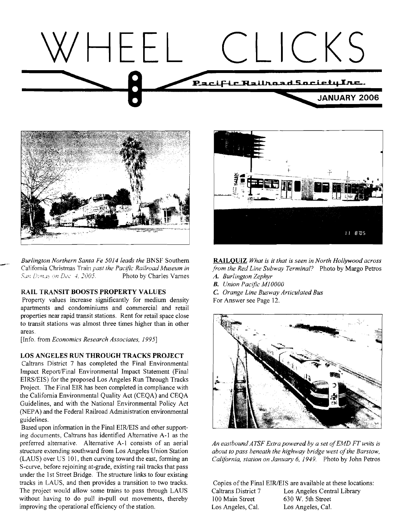



*Burlington Northern Santa Fe 5014 leads the BNSF Southern RAILQUIZ What is it that is seen in North Hollywood across California Christmas Train past the Pacific Railroad Museum in from the Red Line Subway Terminal?* Pho San Dimus on Dec. 4, 2005. **Photo by Charles Varnes** *A. Burlington Zephyr* 

# **RAIL TRANSIT BOOSTS PROPERTY VALUES** *C. Orange Line Busway Articulated Bus*

Property values increase significantly for medium density For Answer see Page 12. apartments and condominiums and commercial and retail properties near rapid transit stations. Rent for retail space close to transit stations was almost three times higher than in other areas.

[Info. from *Economics Research Associates, 19951* 

#### **LOS ANGELES RUN THROUGH TRACKS PROJECT**

Caltrans District 7 has completed the Final Environmental Impact Report/Final Environmental Impact Statement (Final EJRSIEIS) for the proposed Los Angeles Run Through Tracks Project. The Final EIR has been completed in compliance with the California Environmental Quality Act (CEQA) and CEQA Guidelines, and with the National Environmental Policy Act (NEPA) and the Federal Railroad Administration environmental guidelines.

Based upon information in the Final EIR/EIS and other supporting documents, Caltrans has identified Alternative A-1 as the preferred alternative. Alternative A-1 consists of an aerial *An eastbound ATSF Extra powered by a set of EMD FT units is* structure extending southward from Los Angeles Union Station *about to pass beneath the highnay bridge west ofthe Barstow,*  (LAUS) over US 101, then curving toward the east, forming an *Califbrnia, station on January 6, 1949.* Photo by John Petros S-curve, before rejoining at-grade, existing rail tracks that pass under the 1st Street Bridge. The structure links to four existing tracks in LAUS, and then provides a transition to two tracks. Copies of the Final EIR/EIS are available at these locations: The project would allow some trains to pass through LAUS Caltrans District 7 Los Angeles Central Library without having to do pull in-pull out movements, thereby 100 Main Street 630 W. 5th Street improving the operational efficiency of the station. Los Angeles, Cal. Los Angeles, Cal.



acific Railroad Museum in *from the Red Line Subway Terminal?* Photo by Margo Petros Photo by Charles Varnes *A. Burlington Zephyr* 

- 
- **B.** Union Pacific M10000<br>**C.** Orange Line Busway Articulated Bus
- 

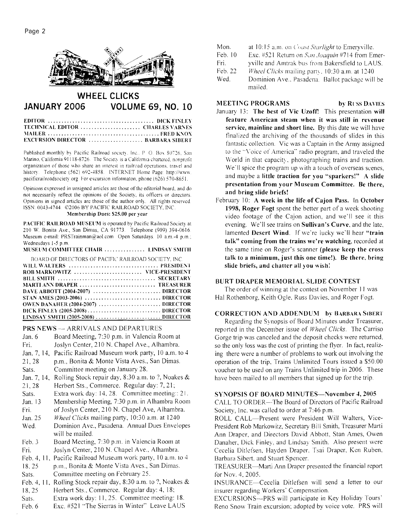

# **WHEEL CLICKS JANUARY 2006 VOLUME 69, NO. 10**

| TECHNICAL EDITOR  CIIARLES VARNES        |  |
|------------------------------------------|--|
|                                          |  |
| <b>EXCURSION DIRECTOR</b> BARBARA SIBERT |  |

Published monthly by Pacific Railroad society, Inc., P. O. Box 80726. San Marino. California 91118-8726. The Society is a California chartered, nonprofit organization of those who share an interest in railroad operations, travel and history. Telephone (562) 692-4858. INTERNET Home Page: http://www. pacificrallroadsociety org  $\frac{1}{2}$  For excursion informaton, phone (626) 570-8651.

Opinions expressed in unsigned articles are those of the editorial board, and do not necessarily reflect the opinions of the Society, its officers or directors. Opinions in signed articles are those of the author only. All rights reserved. ISSN: 0043-4744. ©2006 BY PACIFIC RAILROAD SOCIETY, INC.

**Clembersl~ip Dues:** S25.00 **per year** 

PACIFIC RAILROAD MUSEUM is operated by Pacific Railroad Society at 210 W. Bonita Ave., San Dimas, CA 91773 Telephone (909) 394-0616 Museum e-mail: PRSTrainman@aol.com Open Saturdays. 10 a.m.-4 p.m.; Wednesdays 1-5 p.m. **31USEI'hl CO31hIITTEE CIIAIR** ............... **LINDSAY S.\ll.l'tI** 

| BOARD OF DIRECTORS OF PACIFIC RAILROAD SOCIETY. INC. |
|------------------------------------------------------|
|                                                      |
| ROB MARKOWITZ  VICE-PRESIDENT                        |
|                                                      |
| MARTI ANN DRAPER  TREASURER                          |
|                                                      |
|                                                      |
|                                                      |
|                                                      |
| LINDSAY SMITH $(2005-2008)$ DIRECTOR                 |

**PRS NEWS** -- ARRIVALS AND DEPARTURES<br>Jan. 6 Board Meeting, 7:30 p.m. in Valencia Re Board Meeting, 7:30 p.m. in Valencia Room at Fri. Joslyn Center, 210 N. Chapel Ave., Alhambra. Jan. 7, 14. Pacific Railroad Museum work party, 10 a.m. to 4 21, 28 p.m., Bonita & Monte Vista Aves., San Dimas. Sats. Committee meeting on January 28. Jan. 7, 14, Rolling Stock repair day, 8:30 a.m. to ?, Noakes & 21, 28 Herbert Sts., Commerce. Regular day: 7, 21; Sats. Extra work day: 14, 28. Committee meeting:: 21. Jan. I3 Membership Meeting, 730 p.m. in Alhambra Room Fri. of Joslyn Center, 2 10 N. Chapel Ave, Alhambra. Jan. 25 *Wheel Clicks* mailing party, 10:30 a.m. at 1240 Wed. Dominion Ave., Pasadena. Annual Dues Envelopes will be mailed. Feb. 3 Board Meeting, 7:30 p.m. in Valencia Room at Fri. Joslyn Center, 210 N. Chapel Ave.. Alhambra. Feb. 4, 11, Pacific Railroad Museum work party, 10 a.m. to 4 18. 25 p.m., Bonita & Monte Vista Aves., San Dimas. Sats. Committee meeting on February 25. Feb. 4, 11, Rolling Stock repair day, 8:30 a.m. to ?, Noakes & 18, 25 Herbert Sts.. Commerce. Regular day: 4, 18;

- Sats. Extra work day: 11, 25. Committee meeting: 18.
- Feb. 6 Exc. #521 "The Sierras in Winter" Leave LAUS
- Mon. at 10:15 a.m. on Coast Starlight to Emeryville.<br>Feb. 10 Exc. #521 Return on San Jogguin #714 from Fr
- Exc. #521 Return on *San Joaquin* #714 from Emer-
- Fri. yville and Amtrak bus from Bakersfield to LAUS.
- Feb. 22 *Wheel Clicks* mailing party. 10:30 a.m. at 1240
- Wed. Dominion Ave., Pasadena. Ballot package will be mailed.

# **MEETING PROGRAMS** by RUSS DAVIES

- January 13: **The best of Vic Uzoff!** This presentation **will**  feature American steam when it was still in revenue **service, mainline and short line.** By this date we will have tinalized the archiving of the thousands of slides in this fantastic collection. Vic was a Captain in the Army assigned to the "Voice of America" radio program, and traveled the World in that capacity, photographing trains and traction. We'll spice the program up with a touch of overseas scenes, and maybe a **little traction for you "sparkers!" A slide presentation from your Museum Committee. Be there, and bring slide briefs!**
- February 10: **A week in the life of Cajon Pass.** [n **October 1998, Roger Fogt** spent the better part of a week shooting video footage of the Cajon action, and we'll see it this evening. We'll see trains on **Sullivan's Curve.** and the late, lamented Desert Wind. If we're lucky we'll hear "train **talk" coming from the trains we're watching,** recorded at the same time on Roger's scanner **(please keep the cross talk to a minimum, just this one time!). Be thcrc. bring slide briefs, and chatter all you wish!**

# **BURT DRAPER MEMORIAL SLIDE CONTEST**

The order of winning at the contest on November 11 was Hal Rothenborg, Keith Ogle. Russ Davies, and Roger Fogt.

# **CORRECTION AND ADDENDUM by BARBARA SIBERT.**

Regarding the Synopsis of Board Minutes under Treasurer, reported in the December issue of *Wheel Clicks.* The Carriso Gorge trip was canceled and the deposit checks were returned. so the only loss was the cost of printing the flyer. In fact, realizing there were a number of problems to work out involving the operation of the trip, Trains Unlimited Tours issued a \$50.00 voucher to be used on any Trains Unlimited trip in 2006. These have been mailed to all members that signed up for the trip.

# **SYNOPSIS OF BOARD MINUTES-November 4, 2005**

CALL TO ORDER-The Board of Directors of Pacific Railroad Society, lnc. was called to order at 7:46 p.m.

ROLL CALL-Present were President Will Walters, Vice-President Rob Markowitz, Secretary Bill Srnith, Treasurer Marti Ann Draper, and Directors David Abbott, Stan Ames, Owen Danaher, Dick Finley, and Lindsay Smith. Also present were Cecelia Ditlcfsen, Hayden Draper. 'Tsai Draper, Ken Ruben. Barbara Sibert. and Stuart Spencer.

TREASURER-Marti Ann Draper presented the financial report for Nov. 4, 2005.

INSURANCE-Cecelia Ditlefsen will send a letter to our insurer regarding Workers' Compensation.

EXCURSIONS--PRS will participate in Key Holiday Tours' Reno Snow Train excursion; adopted by voice vote. PRS will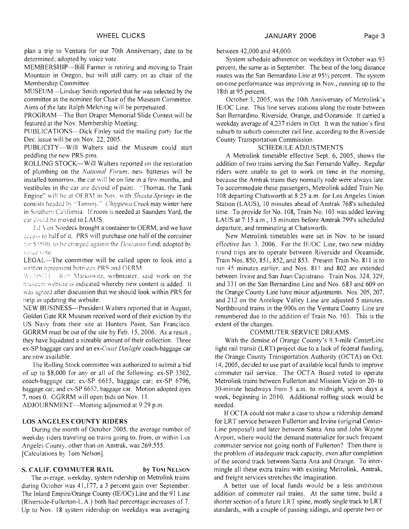plan a trip to Ventura for our 70th Anniversary, date to be determined; adopted by voice vote.

MEMBERSHIP--Bill Farmer is retiring and moving to Train Mountain in Oregon, but will still carry on as chair of the Menibership Committee.

MUSEUM-Lindsay Smith reported that he was selected by the committee as the nominee for Chair of the Museum Committee. Aims of the late Ralph Melching will be perpetuated.

PROGRAM-The Bert Draper Memorial Slide Contest will be featured at the Nov. Membership Meeting.

PUBLICATIONS--Dick Finley said the mailing party for the Dec. issue will be on Nov. 22, 2005.

PUBLICITY-Will Walters said the Museum could start peddling the new PRS pins.

ROLLING STOCK-Will Walters reported on the restoration of plumbing on the *National Forum*, new batteries will be installed tomorrow, the car will be on line in a few months, and vestibules in the car are devoid of paint. "Thomas, the Tank Engine" will be at OERM in Nov, with Shasta Springs in the consists headed by "Tommy." Chippewa Creek may winter here in Southern California. If room is needed at Saunders Yard, the car could be moved to LAUS.

Fd Von Nordeck brought a container to OERM, and we have access to half of it. PRS will purchase one half of the container for \$1500, to be charged against the *Descanso* fund; adopted by. yonce yote.

LEGAL-The committee will be called upon to look into a written agreement between PRS and OERM.

WEBSHE - Rob Markowitz, webmaster, said work on the museum website is indicated whereby new content is added. It was agreed after discussion that we should look within PRS for help in updating the website.

NEW BUSINESS-President Walters reported that in August, Golden Gate RR Museum received word of their eviction by the US Navy from their site at Hunters Point, San Francisco. GGRRM must be out of the site by Feb. 15, 2006. As a result, they have liquidated a sizeable amount of their collection. Three ex-SP baggage cars and an ex-Coast Daylight coach-baggage car are now available.

The Rolling Stock committee was authorized to submit a bid of up to \$8,000 for any or all of the following: ex-SP 3302, coach-baggage car; ex-SP 6615, baggage car; ex-SP 6796, bagage car; and ex-SP 6652, baggage car. Motion adopted ayes 7, noes 0. GGRRM will open bids on Nov. 1 1.

ADJOURNMENT—Meeting adjourned at 9:29 p.m.

#### LOS ANGELES COUNTY RIDERS

During the month of October 2005, the average number of weekdav riders traveling on trains going to, from, or within Los Angeles County, other than on Amtrak, was 269,555. [Calculations by Tom Nelson].

#### S. CALIF. COMMUTER RAIL by TOM NELSON

The average. weekday, system ridership on Metrolink trains during October was 41,177, a 3 percent gain over September. The Inland Empire/Orange County (IE/OC) Line and the 91 Line (Riverside-Fullerton-L.A.) both had percentage increases of 7. Up to Nov. 18 system ridership on weekdays was averaging

#### between 42,000 and 44,000.

System schedule adherence on weekdays in October was 93 percent, the same as in September. The best of the long distance routes was the San Bernardino Line at 95% percent. The system on-time perforniance was improving in Nov., running up to the 18th at 95 percent.

October 3, 2005, was the 10th Anniversary of Metrolink's IE/OC Line. This line serves stations along the route between San Bernardino. Riverside, Orange, and Oceanside. It carried a weekday average of 4,237 riders in Oct. It was the nation's first suburb to suburb commuter rail line, according to the Riverside County Transportation Commission.

#### SCHEDULE ADJUSTMENTS

A Metrolink timetable effective Sept. 6, 2005, shows the addition of two trains serving the San Fernando Valley. Regular riders were unable to get to work on time in the morning, because the Amtrak trains they normally rode were always Iate. To accommodate these passengers, Metrolink added Train No. 108 departing Chatsworth at 8:25 a.m. for Los Angeles Union Station (LAUS), 10 minutes ahead of Amtrak 768's scheduled time. To provide for No. 108, Train No. 103 was added leaving LAUS at 7: 15 a.m., 15 minutes before Amtrak 799's scheduled departure, and terminating at Chatsworth.

New Metroiink timetables were set in Nov. to be issued effective Jan. 3, 2006. For the IE/OC Line, two new midday round trips are to operate between Riverside and Oceanside, Train Nos. 850, 85 1, 852, and 853. Present Train No. 81 1 is to run 45 minutes earlier, and Nos. 811 and 802 are extended between lrvine and San Juan Capistrano. Train Nos. 324, 329, and 33 I on the San Bernardino Line and Nos. 683 and 609 on the Orange County Line have minor adjustments. Nos. 205,207, and 212 on the Antelope Valley Line are adjusted 5 minutes. Northbound trains in the 900s on the Ventura County Line are renumbered due to the addition of Train No. 103. This is the extent of the changes.

#### COMMUTER SERVICE DREAMS

With the demise of Orange County's 9.3-mile CenterLine light rail transit (LRT) project due to a lack of federal funding, the Orange County Transportation Authority (OCTA) on Oct. 14,2005, decided to use part of available local funds to improve commuter rail service. The OCTA Board voted to operate Metrolink trains between Fullerton and Mission Viejo on 20- to 30-minute headways from 5 a.m. to midnight, seven days a week, beginning in 2010. Additional rolling stock would be needed.

If OCTA could not make a case to show a ridership demand for LRT service between Fullerton and Irvine (original Center-Line proposal) and later between Santa Ana and John Wayne Airport, where would the demand materialize for such frequent comniuter service not going north of Fullerton? Then there is the problem of inadequate track capacity, even after completion of the second track between Santa Ana and Orange. To intermingle all these extra trains with existing Metrolink, Amtrak, and freight services stretches the imagination.

A better use of local funds would be a less ambitious addition of commuter rail trains. At the same time, build a shorter section of a future LRT spine, mostly single track to LRT standards, with a couple of passing sidings, and operate two or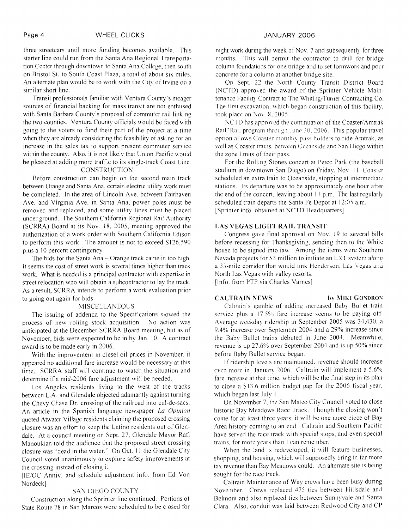three streetcars until more funding becomes available. This starter line could run from the Santa Ana Regional Transportation Center through downtown to Santa Ana College. then south on Bristol St. to South Coast Plaza, a total of about six miles. An alternate plan would be to work with the City of Irvine on a similar short line.

Transit professionals familiar with Ventura County's meager sources of financial backing for mass transit are not enthused with Santa Barbara County's proposal of commuter rail linking the two counties. Ventura County officials would be faced with going to the voters to fund their part of the project at a time when they are already considering the feasibility of asking for an increase in the sales tax to support present commuter service within the county. Also, it is not likely that Union Pacific would be pleased at adding more traffic to its single-track Coast Line.

# CONSTRUCTION

Before construction can begin on the second main track between Orange and Santa Ana, certain electric utility work must be completed. In the area of Lincoln Ave. between Fairhaven Ave. and Virginia Ave. in Santa Ana, power poles must be removed and replaced, and some utility lines must be placed under ground. The Southern California Regional Rail Authority (SCRRA) Board at its Nov. 18, 2005. meeting approved the authorization of a work order with Southern California Edison to perform this work. The amount is not to exceed \$126,590 plus a 10 percent contingency.

The bids for the Santa Ana - Orange track came in too high. It seems the cost of street work is several times higher than track work. What is needed is a principal contractor with expertise in street relocation who will obtain a subcontractor to lay the track. As a result, SCRRA intends to perform a work evaluation prior to going out again for bids.

# MISCELLANEOUS

The issuing of addenda to the Specifications slowed the process of new rolling stock acquisition. No action was anticipated at the December SCRRA Board meeting, but as of November, bids were expected to be in by Jan. 10. A contract award is to be made early in 2006.

With the improvement in diesel oil prices in November, it appeared no additional fare increase would be necessary at this time. SCRRA staff will continue to watch the situation and determine if a mid-2006 fare adjustment will be needed.

Los Angeles residents living to the west of the tracks between L.A. and Glendale objected adamantly against turning the Chevy Chase Dr. crossing of the railroad into cul-de-sacs. An article in the Spanish language newspaper *La Opinion* quoted Atwater Village residents claiming the proposed crossing closure was an effort to keep the Latino residents out of Glendale. At a council meeting on Sept. 27, Glendale Mayor Rafi Manoukian told the audience that the proposed street crossing closure was "dead in the water." On Oct. 11 the Glendale City Council voted unanimously to explore safety improvements at the crossing instead of closing it.

[IE/OC Anniv. and schedule adjustment info. from Ed Von Nordeck]

# SAN DlEGO COUNTY

Construction along the Sprinter line continued. Portions of State Route 78 in San Marcos were scheduled to be closed for

night work during the week of Nov. 7 and subsequently for three months. This will permit the contractor to drill for bridge column foundations for one bridge and to set formwork and pour concrete for a column at another bridge site.

On Sept. 22 the North County Transit District Board (NCTD) approved the award of the Sprinter Vehicle Maintenance Facility Contract to The Whiting-Turner Contracting Co. The first excavation, which began construction of this facility, took place on Nov. 8, 2005.

NCTD has approved the continuation of the Coaster/Amtrak Rail2Rail program through June 30, 2006. This popular travel option allows Coaster monthly pass holders to ride Amtrak, as well as Coaster trains, between Oceanside and San Diego within the zone limits of their pass.

For the Rolling Stones concert at Petco Park (the baseball stadium in downtown San Diego) on Friday. No\. *I* I. Coaster scheduled an extra train to Oceanside, stopping at intermediate stations. Its departure was to be approximately one hour after the end of the concert, leaving about 11 p.m. The last regularly scheduled train departs the Santa Fe Depot at 12:05 a.m. [Sprinter info. obtained at NCTD Headquarters]

# LAS VEGAS LIGHT RAIL TRANSIT

Congress gave final approval on Nov. 19 to several bills before recessing for Thanksgiving, sending then to the White house to be signed into law. Among the items were Southern Nevada projects for \$3 million to initiate an LRT system along a 33-mile corridor that would link Henderson, Las Vegas and North Las Vegas with valley resorts.

[Info. from PTP via Charles Varnes]

**CALTRAIN NEWS** by **MIKE GONDRON** 

Caltrain's gamble of adding increased Baby Bullet train service plus a  $17.5\%$  fare increase seems to be paying off. Average weekday ridership in September 2005 was 34,430, a 9.4% increase over September 2004 and a 29% increase since the Baby Bullet trains debuted in June 2004. Meanwhile. revenue is up 27.6% over September 2004 and is up 50% since before Baby Bullet service began.

If ridership levels are maintained, revenue should increase even more in January 2006. Caltrain will implement a 5.6% fare increase at that time, which will be the final step in its plan to close a  $$13.6$  million budget gap for the 2006 fiscal year, which began last July 1.

On November 7, the San Mateo City Council voted to close historic Bay Meadows Race Track. Though the closing won't come for at least three years, it will be one more piece of Bay Area history coming to an end. Caltrain and Southern Pacific have served the race track with special stops, and even special trains, for more years than I can remember.

When the land is redeveloped, it will feature businesses, shopping, and housing, which will supposedly bring in far more tax revenue than Bay Meadows could. An alternate site is being sought for the race track.

Caltrain Maintenance of Way crews have been busy during November. Crews replaced 475 ties between Hillsdale and Belmont and also replaced ties between Sunnyvale and Santa Clara. Also, conduit was laid between Redwood City and CP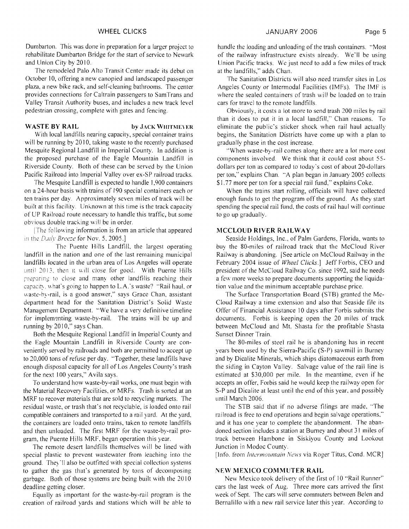Dumbarton. This was done in preparation for a larger project to rehabilitate Dumbarton Bridge for the start of service to Newark and Union City by 2010.

The remodeled Palo Alto Transit Center made its debut on October 10, offering a new canopied and landscaped passenger plaza, a new bike rack, and self-cleaning bathrooms. The center provides connections for Caltrain passengers to SamTrans and Valley Transit Authority buses, and includes a new track level pedestrian crossing, complete with gates and fencing.

# **WASTE BY RAIL by JACK WIITMEYER**

With local landfills nearing capacity, special container trains will be running by 2010, taking waste to the recently purchased Mesquite Regional Landfill in Imperial County. In addition is the proposed purchase of the Eagle Mountain Landfill in Riverside County. Both of these can be served by the Union Pacific Railroad into Imperial Valley over ex-SP railroad tracks.

The Mesquite Landfill is expected to handle 1.900 containers on a 24-hour basis with trains of 190 special containers each or ten trains per day. Approximately seven miles of track will be built at this facility. Unknown at this time is the track capacity of UP Railroad route necessary to handle this traffic, but some obvious double tracking will be in order.

IThe following information is from an article that appeared in the *Daily Breeze* for Nov. 5, 2005.1

The Puente Hills Landfill, the largest operating landfill in the nation and one of the last remaining municipal landfills located in the urban area of Los Angeles will operate until 2013, then it will close for good. With Puente Hills preparing to close and many other landfills reaching their capacity, what's going to happen to L.A.'s waste? "Rail haul, or waste-by-rail, is a good answer," says Grace Chan, assistant department head for the Sanitation District's Solid Waste Management Department. "We have a very definitive timeline for implementing waste-by-rail. The trains will be up and running by 2010," says Chan.

Both the Mesquite Regional Landfill in Imperial County and the Eagle Mountain Landfill in Riverside County are conveniently served by railroads and both are permitted to accept up to 20,000 tons of refuse per day. "Together, these landfills have enough disposal capacity for all of Los Angeles County's trash for the next I00 years," Avila says.

To understand how waste-by-rail works, one must begin with the Material Recovery Facilities, or MRFs. Trash is sorted at an MRF to recover materials that are sold to recycling markets. The residual waste, or trash that's not recyclable, is loaded onto rail compatible containers and transported to a rail yard. At the yard, the containers are loaded onto trains, taken to remote landfills and then unloaded. The first MRF for the waste-by-rail program, the Puente Hills MRF. began operation this year.

The remote desert landfills themselves will be lined with special plastic to prevent wastewater from leaching into the ground. They'll also be outfitted with special collection systems to gather the gas that's generated by tons of decomposing garbage. Both of those systems are being built with the 20 10 deadline getting closer.

Equally as important for the waste-by-rail program is the creation of railroad yards and stations which will be able to

handle the loading and unloading of the trash containers. "Most of the railway infrastructure exists already. We'll be using Union Pacific tracks. We just need to add a few miles of track at the landfills," adds Chan.

The Sanitation Districts will also need transfer sites in Los Angeles County or Intermodal Facilities (IMFs). The IMF is where the sealed containers of trash will be loaded on to train cars for travel to the remote landfills.

Obviously, it costs a lot more to send trash 200 miles by rail than it does to put it in a local landfill," Chan reasons. To eliminate the public's sticker shock when rail haul actually begins, the Sanitation Districts have come up with a plan to gradually phase in the cost increase.

"When waste-by-rail comes along there are a lot more cost components involved. We think that it could cost about *55*  dollars per ton as compared to today's cost of about 20-dollars per ton," explains Chan. "A plan began in January 2005 collects \$1.77 more per ton for a special rail fund," explains Coke.

When the trains start rolling, officials will have collected enough funds to get the program off the ground. As they start spending the special rail fund. the costs of rail haul will continue to go up gradually.

#### **MCCLOUD RIVER RAILWAY**

Seaside Holdings, Inc., of Palm Gardens, Florida, wants to buy the 80-miles of railroad track that the McCloud River Railway is abandoning. [See article on McCloud Railway in the February 2004 issue of **Wheel** Clicks.] Jeff Forbis, CEO and president of the McCloud Railway Co. since 1992, said he needs a few more weeks to prepare documents supporting the liquidation value and the minimum acceptable purchase price.

The Surface Transportation Board (STB) granted the Mc-Cloud Railway a time extension and also that Seaside file its Offer of Financial Assistance 10 days after Forbis submits the documents. Forbis is keeping open the 20 miles of track between McCloud and Mt. Shasta for the profitable Shasta Sunset Dinner Train.

The 80-miles of steel rail he is abandoning has in recent years been used by the Sierra-Pacific (S-P) sawmill in Burney and by Dicalite Minerals, which ships diatomaceous earth from the siding in Cayton Valley. Salvage value of the rail line is estimated at \$30,000 per mile. In the meantime, even if he accepts an offer, Forbis said he would keep the railway open for S-P and Dicalite at least until the end of this year. and possibly until March 2006.

The STB said that if no adverse filings are made, "The railroad is free to end operations and begin salvage operations." and it has one year to complete the abandonment. The abandoned section includes a station at Burney and about 31 miles of track between Hambone in Siskiyou County and Lookout Junction in Modoc County.

[Info. from *Intermountain News via Roger Titus, Cond. MCR]* 

# **INEW MEXICO COMMUTER RAIL**

New Mexico took delivery of the first of 10 "Rail Runner" cars the last week of Aug. Three more cars arrived the first week of Sept. The cars will serve commuters between Belen and Bernalillo with a new rail service later this year. According to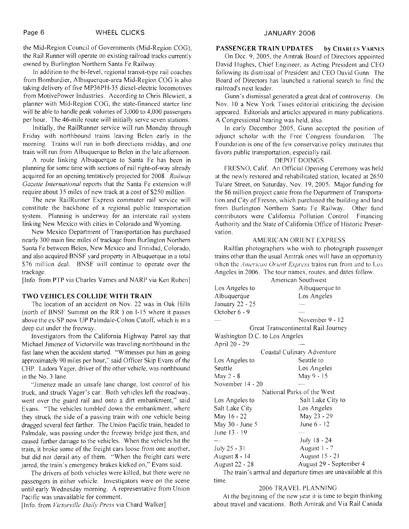the Mid-Region Council of Governments (Mid-Region COG). the Rail Runner will operate on existing railroad tracks currently owned by Burlington Northern Santa Fe Railway.

In addition to the bi-level, regional transit-type rail coaches from Bombardier, Albuquerque-area Mid-Region COG is also taking delivery of five MP36PH-35 diesel-electric locomotives from Motivepower Industries. According to Chris Blewiett, a planner with Mid-Region COG, the state-financed starter line will be able to handle peak volumes of 3,000 to 4,000 passengers per hour. The 46-mile route will initially serve seven stations.

Initially, the RailRunner service will run Monday through Friday with northbound trains leaving Belen early in the morning. Trains will run in both directions midday, and one train will run from Albuquerque to Belen in the late afternoon.

A route linking Albuquerque to Santa Fe has been in planning for some time with sections of rail right-of-way already acquired for an opening tentatively projected for 2008. *Railway Gazette International* reports that the Santa Fe extension will require about 35 miles of new track at a cost of \$250 million.

The new RailRunner Express commuter rail service will constitute the backbone of a regional public transportation system. Planning is underway for an interstate rail system linking New Mexico with cities in Colorado and Wyoming.

New Mexico Department of Transportation has purchased nearly 300 main line miles of trackage from Burlington Northern Santa Fe between Belen, New Mexico and Trinidad, Colorado, and also acquired BNSF yard property in Albuquerque in a total \$76 million deal. BNSF will continue to operate over the trackage.

[Info. from PTP via Charles Varnes and NARP via Ken Ruben]

# **TWO VEHICLES COLLIDE WITH TRAIN**

The location of an accident on Nov. 22 was in Oak Hills (north of BNSF Summit on the RR ) on I- 15 where it passes above the ex-SP now UP Palmdale-Colton Cutoff, which is in a deep cut under the freeway.

Investigators from the California Highway Patrol say that Michael Jimenez of Victorville was traveling northbound in the fast lane when the accident started. "Witnesses put him as going approximately 90 miles per hour," said Officer Skip Evans of the CHP. Ladora Yager, driver of the other vehicle, was northbound in the No. 3 lane.

"Jimenez made an unsafe lane change, lost control of his truck. and struck Yager's car. Both vehicles left the roadway. went over the guard rail and onto a dirt embankment," said Evans. "The vehicles tumbled down the embankment, where they struck the side of a passing train with one vehicle being dragged several feet farther. The Union Pacific train, headed to Palmdale, was passing under the freeway bridge just then, and caused further damage to the vehicles. When the vehicles hit the train, it broke some of the freight cars loose from one another, but did not derail any of them. "When the freight cars were jarred, the train's emergency brakes kicked on," Evans said.

The drivers of both vehicles were killed, but there were no passengers in either vehicle. Investigators were on the scene until early Wednesday morning. A representative from Union Pacific was unavailable for comment.

[Info, from *Victorville Daily Press* via Chard Walker]

# **PASSENGER TRAIN UPDATES by CHARLES VARNES**

On Dec. 9, 2005, the Anitrak Board of Directors appointed David Hughes, Chief Engineer, as Acting President and CEO following its dismissal of President and CEO David Gunn The Board of Directors has launched a national search to find thc railroad's next leader.

Gunn's dismissal generated a great dcal of controversy. On Nov. 10 a New York Times editorial criticizing the decision appeared. Editorials and articlcs appeared in many publications. A Congressional hearing was held, also.

In early December 2005, Gunn accepted the position of adjunct scholar with the Free Congress foundation. The Foundation is one of the few conservative policy institutes that favors public transportation, especially rail.

### DEPOT DOINGS

FRESNO, Calif. An Official Opening Ceremony was held at the newly restored and rehabilitated station, located at 2650 Tulare Street, on Saturday, Nov. 19, 2005. Major funding for the \$6 million project came from the Department of Transportation and City of Fresno, which purchased the building and land from Burlington Northern Santa Fe Railway. Other fund contributors were California Pollution Control Financing Authority and the State of California Office of Historic Preservation.

### AMERICAN ORIENT EXPRESS

Railfan photographers who wish to photograph passenger trains other than the usual Amtrak ones will have an opportunity when the *American Orient Express* trains run from and to Los Angeles in 2006. The tour names. routes, and dates follow.

|                                | American Southwest                                           |  |  |
|--------------------------------|--------------------------------------------------------------|--|--|
| Los Angeles to                 | Albuquerque to                                               |  |  |
| Albuquerque                    | Los Angeles                                                  |  |  |
| January 22 - 25                |                                                              |  |  |
| October 6 - 9                  |                                                              |  |  |
|                                | November 9 - 12                                              |  |  |
|                                | Great Transcontinental Rail Journey                          |  |  |
| Washington D.C. to Los Angeles |                                                              |  |  |
| April 20 - 29                  |                                                              |  |  |
| Coastal Culinary Adventure     |                                                              |  |  |
| Los Angeles to                 | Seattle to                                                   |  |  |
| Seattle                        | Los Angeles                                                  |  |  |
| May $2 - 8$                    | May 9 - 15                                                   |  |  |
| November 14 - 20               |                                                              |  |  |
|                                | National Parks of the West                                   |  |  |
| Los Angeles to                 | Salt Lake City to                                            |  |  |
| Salt Lake City                 | Los Angeles                                                  |  |  |
| May 16 - 22                    | May 23 - 29                                                  |  |  |
| May 30 - June 5                | June 6 - 12                                                  |  |  |
| June 13 - 19                   |                                                              |  |  |
|                                | July 18 - 24                                                 |  |  |
| July 25 - 31                   | August 1 - 7                                                 |  |  |
| August 8 - 14                  | August 15 - 21                                               |  |  |
| <b>August 22 - 28</b>          | August 29 - September 4                                      |  |  |
|                                | The train's evident and departure times are unavailable of t |  |  |

The train's arrival and departure times are unavailable at this time.

#### 2006 TRAVEL PLANNING

At the beginning of the new year it is time to begin thinking about travel and vacations. Both Arntrak and Via Rail Canada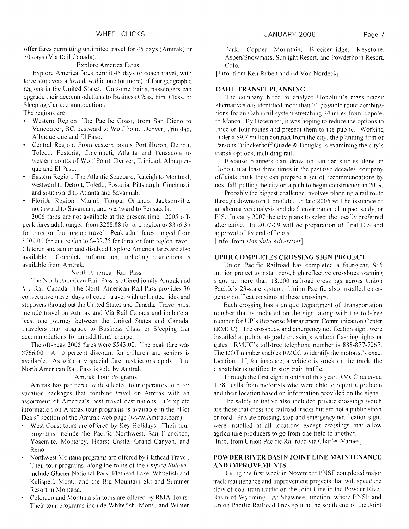offer fares permitting unlimited travel for 45 days (Amtrak) or 30 days (Via Rail Canada).

# Explore America Fares

Esplore America fares permit 45 days of coach travel, with three stopovers allowed, within one (or more) of four geographic regions in the United States. On some trains, passengers can upgrade their accommodations to Business Class, First Class. or Sleeping Car accommodations.

The regions are:

- Western Region: The Pacifrc Coast. from San Diego to Vancouver, BC. eastward to Wolf Point, Denver, Trinidad. Albuquerque and El Paso.
- Central Region: From eastern points Port Huron. Detroit. Toledo, Fostoria, Cincinnati, Atlanta and Pensacola to western points of Wolf Point, Denver, Trinidad, Albuquerque and El Paso.
- Eastern Region: The Atlantic Seaboard, Raleigh to Montreal, westward to Detroit, Toledo, Fostoria, Pittsburgh, Cincinnati, and southward to Atlanta and Savannah.
- Florida Region: Miami. Tampa, Orlando. Jacksonville, northward to Savannah, and westward to Pensacola.

2006 fares are not available at the present time. 3005 offpeak fares adult ranged from \$288.88 for one region to \$376.35 for three or four region travel. Peak adult fares ranged from 5309.00 for one region to \$437.75 for three or four region travel. Children and senior and disabled Explore America fares are also available. Complete information. including restrictions is available from Amtrak.

# North American Rail Pass

The North American Rail Pass is offered jointly Amtrak and Via Kail Canada. The North American Rail Pass provides 30 consecutive travel days of coach travel with unlimited rides and stopovers throughout the United States and Canada. Travel must include travel on Amtrak and Via Rail Canada and include at least one journey between the United States and Canada. Travelers may upgrade to Business Class or Sleeping Car accommodations for an additional charge.

The off-peak 2005 fares were \$543.00. The peak fare was \$766.00. A 10 percent discount for children and seniors is available. As with any special fare, restrictions apply. The North American Rail Pass is sold by Amtrak.

# Amtrak Tour Programs

Amtrak has partnered with selected tour operators to offer vacation packages that combine travel on Amtrak with an assortment of America's best travel destinations. Complete information on Amtrak tour programs is available in the "Hot Deals" section of the Amtrak web page (www.Amtrak.com).

- West Coast tours are offered by Key Holidays. Their tour programs include the Pacific Northwest, San Francisco, Yosemite, Monterey, Hearst Castle, Grand Canyon, and Reno.
- Northwest Montana programs are offered by Flathead Travel. Their tour programs, along the route of the *Empire Builder*, include Glacier National Park, Flathead Lake, Whitefish and Kalispell, Mont., and the Big Mountain Ski and Summer Resort in Montana.
- Colorado and Montana ski tours are offered by RMA Tours. Their tour programs include Whitefish, Mont., and Winter

Park, Copper Mountain, Breckenridge, Keystone. Aspen/Snowmass, Sunlight Resort, and Powderhorn Resort, Colo.

[Info. from Ken Ruben and Ed Von Nordeck]

# **OAHU TRANSIT PLANNING**

The company hired to analyze Honolulu's mass transit alternatives has identified more than 70 possible route combinations for an Oahu rail system stretching 24 miles from Kapolei to Manoa. By December, it was hoping to reduce the options to three or four routes and present them to the public. Working under a \$9.7 million contract from the city, the planning firm of Parsons Brinckerhoff Quade  $&$  Douglas is examining the city's transit options. including rail.

Because planners can draw on similar studies done in Honolulu at least three times in the past two decades, company officials think they can prepare a set of recommendations by next fall, putting the city on a path to begin construction in 2009.

Probably the biggest challenge involves planning a rail route through downtown Honolulu. In late 2006 will be issuance of an alternatives analysis and draft environmental impact study. or EIS. In early 2007 the city plans to select the locally preferred alternative. In 2007-09 will be preparation of final EIS and approval of federal officials.

[Info. from *Honolulu Advertiser*]

# **UPRR COMPLETES CROSSING SIGN PROJECT**

Union Pacific Railroad has completed a four-year. \$16 million project to install new, high reflective crossbuck warning signs at more than 18,000 railroad crossings across Union Pacific's 23-state system. Union Pacific also installed emergency notification signs at these crossings.

Each crossing has a unique Department of Transportation number that is included on the sign, along with the toll-free number for UP's Response Management Communication Center (RMCC). The crossbuck and emergency notification sign: were installed at public at-grade crossings without flashing lights or gates. RMCC's toll-free telephone number is 888-877-7267. The DOT number enables RMCC to identify the motorist's exact location. If, for instance. a vehicle is stuck on the track, the dispatcher is notified to stop train traffic.

Through the first eight months of this year, RMCC received 1,381 calls from motorists who were able to report a problem and their location based on information provided on the signs.

The safety initiative also included private crossings which are those that cross the railroad tracks but are not a public street or road. Private crossing, stop and emergency notification signs were installed at all locations except crossings that allow agriculture producers to go from one field to another. [Info. from Union Pacific Railroad via Charles Varnes]

# **POWDER RIVER BASIN JOINT LINE MAINTENANCE AND IMPROVEMENTS**

During the first week in November BNSF completcd major track maintenance and improvement projects that will speed the flow of cod train traftic on the Joint Line in the Powder River Basin of Wyoming. At Shawnee Junction, where BNSF and Union Pacific Railroad lines split at the south end of the Joint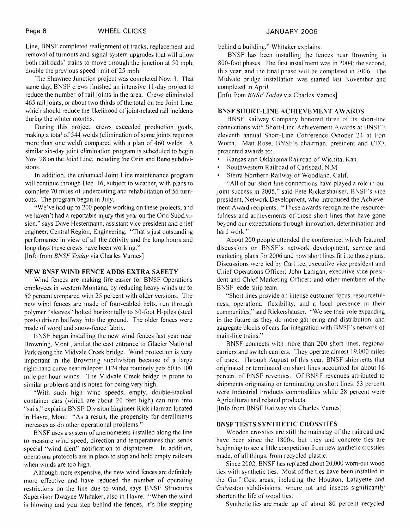Line, BNSF completed realignment of tracks, replacement and removal of turnouts and signal system upgrades that will allow both railroads' trains to move through the junction at 50 mph, double the previous speed limit of 25 mph.

The Shawnee Junction project was completed Nov. 3. That same day, BNSF crews finished an intensive 1 I -day project to reduce the number of rail joints in the area. Crews eliminated 465 rail joints, or about two-thirds of the total on the Joint Line, which should reduce the likelihood of joint-related rail incidents during the winter months.

During this project, crews exceeded production goals, making a total of 544 welds (elimination of some joints requires more than one weld) compared with a plan of 460 welds. A similar six-day joint elimination program is scheduled to begin Nov. 28 on the Joint Line, including the Orin and Reno subdivisions.

In addition, the enhanced Joint Line maintenance program will continue through Dec. 16, subject to weather, with plans to complete 70 miles of undercutting and rehabiIitation of 56 turnouts. The program began in July.

"We've had up to 200 people working on these projects, and we haven't had a reportable injury this year on the Orin Subdivision," says Dave Hestermann, assistant vice president and chief engineer. Central Region, Engineering. "That's just outstanding performance in view of all the activity and the long hours and long days these crews have been working."

[Info from BNSF *Today* via Charles Varnes]

### **NEW BNSF WIND FENCE ADDS EXTRA SAFETY**

Wind fences are making life easier for BNSF Operations employees in western Montana, by reducing heavy winds up to 50 percent compared with 25 percent with older versions. The new wind fences are made of four-cabled belts, run through polymer "sleeves" bolted horizontally to 50-foot H-piles (steel posts) driven halfway into the ground. The older fences were made of wood and snow-fence fabric.

BNSF began installing the new wind fences last year near Browning, Mont., and at the east entrance to Glacier National Park along the Midvale Creek bridge. Wind protection is very important in the Browning subdivision because of a large right-hand curve near milepost 1 124 that routinely gets 60 to 100 mile-per-hour winds. The Midvale Creek bridge is prone to similar problems and is noted for being very high.

"With such high wind speeds, empty, double-stacked container cars (which are about 20 feet high) can turn into "sails," explains BNSF Division Engineer Rick Harman located in Havre. Mont. "As a result, the propensity for derailments increases as do other operational problems."

BNSF uses a system of anemometers installed along the line to measure wind speed, direction and temperatures that sends special "wind alert" notification to dispatchers. In addition, operations protocols are in place to stop and hold empty railcars when winds are too high.

Although more expensive, the new wind fences are definitely more effective and have reduced the number of operating restrictions on the line due to wind, says BNSF Structures Supervisor Dwayne Whitaker, also in Havre. "When the wind is blowing and you step behind the fences, it's like stepping

behind a building," Whitaker explains.

BNSF has been installing the fences near Browning in 800-foot phases. The first installment was in 2004; the second. this year; and the final phase will be completed in 2006. The Midvale bridge installation was started last November and completed in April.

[Info from *BNSF Today* via Charles Varnes]

#### **BNSF SHORT-LINE ACHIEVEMENT AWARDS**

BNSF Railway Company honored three of its short-line connections with Short-Line Achievement Awards at BNSF's eleventh annual Short-Line Conference October 24 at Fort Worth. Matt Rose, BNSF's chairman. president and CEO. presented awards to:

- Kansas and Oklahoma Railroad of Wichita, Kan.
- Southwestern Railroad of Carlsbad, N.M.
- Sierra Northern Railway of Woodland. Calif.

"All of our short line connections have played a role in our joint success in 2005," said Pete Rickershauser, BNSF's vice president, Network Development, who introduced the Achievement Award recipients. "These awards recognize the resourcefulness and achievements of those short lines that have gone beyond our expectations through innovation, determination and hard work."

About 200 people attended the conference. which featured discussions on BNSF's network development, service and marketing plans for 2006 and how short lines fit into those plans. Discussions were led by Carl Ice, executive vice president and Chief Operations Officer; John Lanigan, executive vice president and Chief Marketing Officer; and other members of thc RNSF leadership team.

"Short lines provide an intense customer focus, resourcefulness, operational flexibility, and a local presence in their communities," said Rickershauser. "We see their role expanding in the future as they do more gathering and distribution, and aggregate blocks of cars for integration with BNSF's network of main-line trains."

BNSF connects with more than 200 short lines, regional carriers and switch carriers. They operate almost 19,000 miles of track. Through August of this year, BNSF shipments that originated or terminated on short lines accounted for about 16 percent of BNSF revenues. Of BNSF revenues attributed to shipments originating or terminating on short lines, 53 percent were Industrial Products commodities while 28 percent were Agricultural and related products.

[Info from BNSF Railway via Charles Varnes]

### **BNSF TESTS SYNTHETIC CROSSTIES**

Wooden crossties are still the mainstay of the railroad and have been since the 1800s, but they and concrete ties are beginning to see a little competition from new synthetic crossties made, of all things, from recycled plastic.

Since 2002, BNSF has replaced about 20,000 worn-out wood ties with synthetic ties. Most of the ties have been installed in the Gulf Cost areas, including the Houston, Lafayette and Galveston subdivisions, where rot and insects significantly shorten the life of wood ties.

Synthetic ties are made up of about 80 percent recycled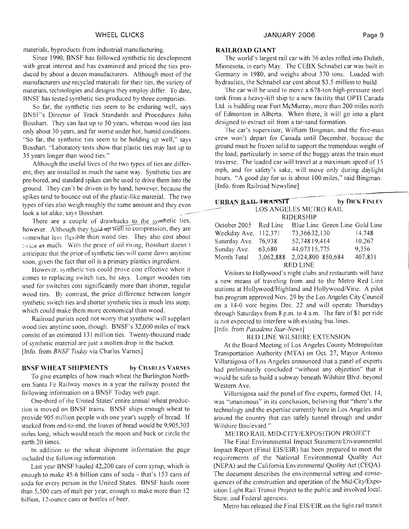Since 1990, BNSF has followed synthetic tie development with great interest and has examined and priced the ties produced by about a dozen manufacturers. Although most of the manufacturers use recycled materials for their ties, the variety of materials, technologies and designs they employ differ. To date, RNSF has tested synthetic ties produced by three companies.

So far, the synthetic ties seem to be enduring well, says BNSF's Director of Track Standards and Procedures John Bosshart. They can last up to 50 years, whereas wood ties last only about 30 years. and far worse under hot. humid conditions. "So far, the synthetic ties seem to be holding up well," says Bosshart. "Laboratory tests show that plastic ties may last up to 35 years longer than wood ties."

Although the useful lives of the two types of ties are different, they are installed in much the same way. Synthetic ties are pre-bored, and standard spikes can be used to drive them into the ground. They can't be driven in by hand, however, because the spikes tend to bounce out of the plastic-like material. The two types of ties also weigh roughly the same amount and they even ground. They can't be driven in by hand, however, because the<br>spikes tend to bounce out of the plastic-like material. The two<br>types of ties also weigh roughly the same amount and they even<br>look a lot alike, says Bosshart.

There are a couple of drawbacks to the synthetic ties, however. Although they hold-up well to compression, they are somewhat less flexible than wood ties. They also cost about **:.,i** ice as much. With the price of oil rising, Bosshart doesn't anticipate that the price of synthetic ties will come down anytime soon, given the fact that oil is a primary plastics ingredient.

However, synthetic ties could prove cost effective when it comes to replacing switch ties, he says. Longer wooden ties used for switches cost significantly more than shorter, regular wood ties. By contrast, the price difference between longer synthetic switch ties and shorter synthetic ties is much less steep, which could make them more economical than wood.

Railroad purists need not worry that synthetic will supplant wood ties anytime soon, though. BNSF's 32,000 miles of track consist of an estimated 131 million ties. Twenty-thousand made of synthetic material are just a molten drop in the bucket. [Info. from *BNSF Today* via Charles Varnes]

# **BNSF WHEAT SHIPMENTS by CHARI,ES VARNES**

To give examples of how much wheat the Burlington Northern Santa Fe Railway moves in a year the railway posted the following information on a BNSF Today web page.

One-third of the United States' entire annual wheat production is moved on BNSF trains. BNSF ships enough wheat to provide 905 million people with one year's supply of bread. If stacked from end-to-end, the loaves of bread would be 9,905,303 miles long, which would reach the moon and back or circle the earth 20 times.

In addition to the wheat shipment information the page included the following information.

Last year RNSF hauled 42,200 cars of corn syrup, which is enough to make  $45.6$  billion cans of soda - that's 153 cans of soda for every person in the United States. BNSF hauls more than 5,500 cars of malt per year. enough to make more than 12 billion, 12-ounce cans or bottles of beer.

### **RAILROAD GIANT**

The world's largest rail car with 36 axles rolled into Duluth, Minnesota. in early May. The CEBX Schnabel car was built in Germany in 1980, and weighs about 370 tons. Loaded with hydraulics, the Schnabel car cost about \$3.5 million to build.

'The car will be used to move a 678-ton high-pressure steel tank from a heavy-lift ship to a new facility that OPT1 Canada Ltd. is building near Fort McMurray, more than 200 miles north of Edmonton in Alberta. When there, it will go into a plant designed to extract oil from a tar-sand formation.

The car's supervisor, William Bingman, and the five-man crew won't depart for Canada until December, because the ground must be frozen solid to support the tremendous weight of the load, particularly in some of the boggy areas the train must traverse. 'The loaded car will travel at a maximum speed of 15 mph, and for safety's sake, will move only during daylight hours. "A good day for us is about 100 miles," said Bingman. [Info. from Railroad Newsline]

| [Info. from Railroad Newsline] |           |                                |                |  |  |
|--------------------------------|-----------|--------------------------------|----------------|--|--|
| URBAN RAIL TRANSIT             |           |                                | by DICK FINLEY |  |  |
| LOS ANGELES METRO RAIL         |           |                                |                |  |  |
| RIDERSHIP                      |           |                                |                |  |  |
| October 2005 Red Line          |           | Blue Line Green Line Gold Line |                |  |  |
| Weekday Ave.                   | 112,371   | 73,36632,130                   | 14,748         |  |  |
| Saturday Ave.                  | 76,938    | 52,748 19,414                  | 10,267         |  |  |
| Sunday Ave.                    | 63,680    | 44,073 15,775                  | 9,356          |  |  |
| Month Total                    | 3,062,888 | 2,024,800 850,684              | 407,831        |  |  |
| <b>RED LINE</b>                |           |                                |                |  |  |

Visitors to Hollywood's night clubs and restaurants will have a new means of traveling from and to the Metro Red Line stations at Hollywood/Highland and Hollywood/Vine. A pilot bus program approved Nov. 29 by the Los Angeles City Council on a 14-0 vote begins Dec. 22 and will operate Thursdays through Saturdays from 8 p.m. to 4 a.m. The fare of \$1 per ride is not expected to interfere with existing bus lines. [Info. from *Pasadena Star-News]* 

#### RED LINE WlLSHlRE EXTENSION

At the Board Meeting of Los Angeles County Metropolitan Transportation Authority (MTA) on Oct. 27, Mayor Antonio Villaraigosa of Los Angeles announced that a panel of experts had preliminarily concluded "without any objection" that it would be safe to build a subway beneath Wilshire Blvd. beyond Western Ave.

Villaraigosa said the panel of five experts, formed Oct. 14, was "unanimous" in its conclusion, believing that "there's the technology and the expertise currently here in Los Angeles and around the country that can safety tunnel through and under Wilshire Boulevard."

METRO RAIL MID-CITY/EXPOSITION PROJECT

The Final Environmental Impact Statement/Environmental Impact Report (Final EIS/EIR) has been prepared to meet the requirements of the National Environmental Quality Act (NEPA) and the California Environmental Quality Act (CEQA). The document describes the environmental setting and consequences of the construction and operation of the Mid-CitylExposition Light Rail Transit Project to the public and involved local, State. and Federal agencies.

Metro has released the Final EIS/EIR on the light rail transit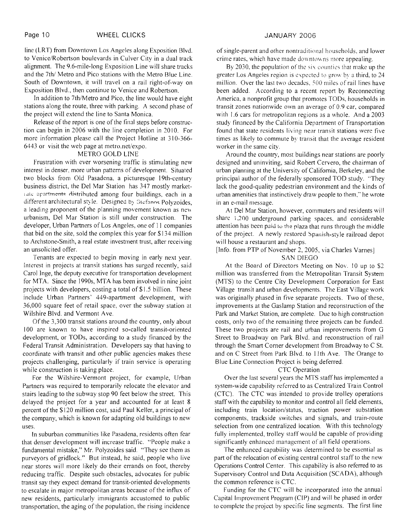line (LRT) from Downtown Los Angeles along Exposition Blvd. to Venice/Robertson boulevards in Culver City in a dual track alignment. The 9.6-mile-long Exposition Line will share tracks and the 7th/ Metro and Pico stations with the Metro Blue Line. South of Downtown, it will travel on a rail right-of-way on Exposition Blvd., then continue to Venice and Robertson.

In addition to 7th/Metro and Pico, the line would have eight stations along the route, three with parking. A second phase of the project will extend the line to Santa Monica.

Release of the report is one of the final steps before construction can begin in 2006 with the line completion in 3010. For more information please call the Project Hotline at 3 10-366-  $6443$  or visit the web page at metro.net/expo.

### METRO GOLD LINE

Frustration with ever worsening traffic is stimulating new interest in denser. more urban patterns of development. Situated two blocks from Old Pasadena, a picturesque 19th-century business district, the Del Mar Station has 347 mostly market-Late apartments distributed among four buildings, each in a different architectural style. Designed by Stefanos Polyzoides, a leading proponent of the planning movement known as new urbanism, Del Mar Station is still under construction. The developer, Urban Partners of Los Angeles, one of 11 companies that bid on the site, sold the complex this year for \$134 million to Archstone-Smith, a real estate investment trust, after receiving an unsolicited offer.

Tenants are expected to begin moving in early next year. Interest in projects at transit stations has surged recently, said Carol Inge, the deputy executive for transportation development for MTA. Since the 1990s, MTA has been involved in nine joint projects with developers, costing a total of \$1.5 billion. These include Urban Partners' 449-apartment development, with 36,000 square feet of retail space, over the subway station at Wilshire Blvd. and Vermont Ave.

Of the 3,300 transit stations around the country, only about 100 are known to have inspired so-called transit-oriented development, or TODs, according to a study financed by the Federal Transit Administration. Developers say that having to coordinate with transit and other public agencies makes these projects challenging, particularly if train service is operating while construction is taking place.

For the Wilshire-Vermont project, for example, Urban Partners was required to temporarily relocate the elevator and stairs leading to the subway stop 90 feet below the street. This delayed the project for a year and accounted for at least 8 percent of the \$120 million cost, said Paul Keller, a principal of the company, which is known for adapting old buildings to new uses.

In suburban communities like Pasadena, residents often fear that denser development will increase traffic. "People make a fundamental mistake," Mr. Polyzoides said. "They see them as purveyors of gridlock." But instead, he said, people who live near stores will more likely do their errands on foot, thereby reducing traffic. Despite such obstacles, advocates for public transit say they expect demand for transit-oriented developments to escalate in major metropolitan areas because of the influx of new residents, particularly immigrants accustomed to public transportation, the aging of the population, the rising incidence

of single-parent and other nontraditional households, and lower crime rates, which have made downtowns more appealing.

By  $2030$ , the population of the six counties that make up the greater Los Angeles region is expected to grow by a third, to 24. million. Over the last two decades, 500 miles of rail lines have been added. According to a recent report by Reconnecting America, a nonprofit group that promotes TODs, households in transit zones nationwide own an average of 0.9 car, compared with  $1.6$  cars for metropolitan regions as a whole. And a 2003 study financed by the California Department of Transportation found that state residents living near transit stations were five times as likely to commute by transit that the average resident worker in the same city.

Around the country, most buildings near stations are poorly designed and uninviting, said Robert Cervero, the chairman of urban planning at the University of California, Berkeley, and the principal author of the federally sponsored IOD study. "They lack the good-quality pedestrian environment and the kinds of urban amenities that instinctively draw people to them." he wrote in an e-mail message.

At Del Mar Station, however, commuters and residents will share 1.200 underground parking spaces. and considerable attention has been paid **LO** the plaza that runs through the middle of the project. A newly restored Spanish-style railroad depot will house a restaurant and shops.

# [Info. from PTP of November 2, 2005, via Charles Varnes] SAN DIEGO

At the Board of Directors Meeting on Nov. 10 up to \$2 million was transferred from the Metropolitan Transit System (MTS) to the Centre City Development Corporation for East Village transit and urban developments. The East Village work was originally phased in five separate projects. Two of these, improvements at the Gaslamp Station and reconstruction of the Park and Market Station, are complete. Due to high construction costs, only two of the remaining three projects can be funded. These two projects are rail and urban improvements from G Street to Broadway on Park Blvd. and reconstruction of rail through the Smart Corner development from Broadway to C St. and on C Street from Park Blvd. to 11th Ave. The Orange to Blue Line Connection Project is being deferred.

#### CTC Operation

Over the last several years the MTS staff has implemented a system-wide capability referred to as Centralized Train Control (CTC). The CTC was intended to provide trolley operations staff with the capability to monitor and control all field elements, including train location/status, traction power substation components, trackside switches and signals, and train-route selection from one centralized location. With this technology fully implemented, trolley staff would be capable of providing significantly enhanced management of all field operations.

The enhanced capability was determined to be essential as part of the relocation of existing central control staff to the new Operations Control Center. This capability is also referred to as Supervisory Control and Data Acquisition (SCADA), although the common reference is CTC.

Funding for the CTC will be incorporated into the annual Capital Improvement Prograni (CIP) and will be phased in order to complete the project by specific line segments. The first line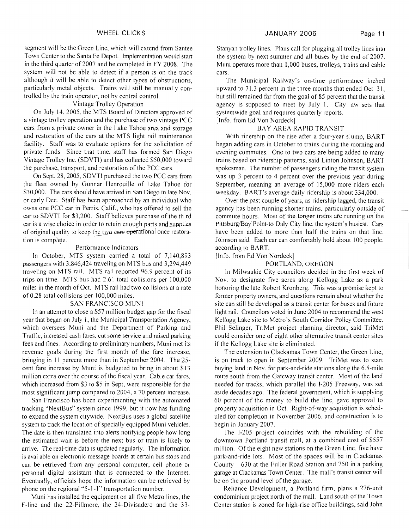segment will be the Green Line, which will extend from Santee Town Center to the Santa Fe Depot. Implementation would start in the third quarter of 2007 and be completed in FY 2008. The system will not be able to detect if a person is on the track although it will be able to detect other types of obstructions, particularly metal objects. Trains will still be manually controlled by the train operator, not by central control.

# Vintage Trolley Operation

On July 14,2005, the MTS Board of Directors approved of a vintage trolley operation and the purchase of two vintage PCC cars from a private owner in the Lake Tahoe area and storage and restoration of the cars at the MTS light rail maintenance facility. Staff was to evaluate options for the solicitation of private funds Since that time, staff has formed San Diego Vintage Trolley Inc. (SDVTI) and has collected \$50,000 toward the purchase, transport, and restoration of the PCC cars.

On Sept. 28,2005, SDVTI purchased the two PCC cars from the fleet owned by Gunnar Henrouille of Lake Tahoe for \$30,000. The cars should have arrived in San Diego in late Nov. or early Dec. Staff has been approached by an individual who owns one PCC car in Perris. Calif., who has offered to sell the car to SDVTI for \$3,200. Staff believes purchase of the third car is a wise choice in order to retain enough parts and supplies of original quality to keep the two cars operational once restoration is complete.

#### Perforniance Indicators

In October, MTS system carried a total of 7,140,893 passengers with 3,846,424 traveling on MTS bus and 3,294,449 traveling on MTS rail. MTS rail reported 96.9 percent of its trips on time. MTS bus had 2.61 total collisions per 100,000 miles in the month of Oct. MTS rail had two collisions at a rate of 0.28 total collisions per 100,000 miles.

### SAN FRANCISCO MUNI

In an attempt to close a \$57 million budget gap for the fiscal year that began on July 1, the Municipal Transportation Agency, which oversees Muni and the Department of Parking and Traffic, increased cash fares. cut some service and raised parking fees and fines. According to preliminary numbers, Muni met its revenue goals during the first month of the fare increase, bringing in 11 percent more than in September 2004. The 25cent fare increase by Muni is budgeted to bring in about \$13 million extra over the course of the fiscal year. Cable car fares, which increased from \$3 to \$5 in Sept, were responsible for the most significant jump compared to 2004, a 70 percent increase.

San Francisco has been experimenting with the automated tracking "NextBus" system since 1999, but it now has funding to expand the system citywide. NextBus uses a global satellite system to track the location of specially equipped Muni vehicles. The date is then translated into alerts notifying people how long the estimated wait is before the next bus or train is likely to arrive. The real-time data is updated regularly. The information is available on electronic message boards at certain bus stops and can be retrieved from any personal computer, cell phone or personal digital assistant that is connected to the Internet. Eventually, officials hope the information can be retrieved by phone on the regional "5-1 -1" transportation number.

Muni has installed the equipment on all five Metro lines, the F-line and the 22-Fillmore, the 24-Divisadero and the 33Stanyan trolley lines. Plans call for plugging all trolley lines into the system by next summer and all buses by the end of 2007. Muni operates more than 1,000 buses, trolleys, trains and cable cars.

The Municipal Railway's on-time performance inched upward to  $71.3$  percent in the three months that ended Oct.  $31.$ but still remained far from the goal of 85 percent that the transit agency is supposed to meet by July 1. City law sets that systemwide goal and requires quarterly reports. [Info. from Ed Von Nordeck]

#### BAY AREA RAPID TRANSIT

With ridership on the rise after a four-year slump, BART began adding cars in October to trains during the morning and evening commutes. One to two cars are being added to many trains based on ridership patterns, said Linton Johnson, BART spokesman. The number of passengers riding the transit system was up 3 percent to 4 percent over the previous year during September, meaning an average of 15,000 more riders each weekday. BART'S average daily ridership is about 334,000.

Over the past couple of years, as ridership lagged, the transit agency has been running shorter trains, particularly outside of commute hours. Most of the longer trains are running on the Pittsburg/Bay Point-to Daly City line, the system's busiest. Cars have been added to more than half the trains on that line. Johnson said. Each car can comfortably hold about 100 people, according to BART.

### [Info. from Ed Von Nordeck]

#### PORTLAND. OREGON

In Milwaukie City councilors decided in the first week of Nov. to designate five acres along Kellogg Lake as a park honoring the late Robert Kronberg. This was a promise kept to former property owners, and questions remain about whether the site can still be developed as a transit center for buses and future light rail. Councilors voted in June 2004 to recommend the west Kellogg Lake site to Metro's South Corridor Policy Committee. Phil Selinger, TriMet project planning director, said TriMet could consider one of eight other alternative transit center sites if the Kellogg Lake site is eliminated.

The extension to Clackamas Town Center, the Green Line, is on track to open in September 2009. TriMet was to start buying land in Nov. for park-and-ride stations along the 6.5-mile route south from the Gateway transit center. Most of the land needed for tracks, which parallel the 1-205 Freeway, was set aside decades ago. The federal government, which is supplying 60 percent of the money to build the line, gave approval to property acquisition in Oct. Right-of-way acquisition is scheduled for completion in November 2006, and construction is to begin in January 2007.

The 1-205 project coincides with the rebuilding of the downtown Portland transit mall, at a combined cost of \$557 million. Of the eight new stations on the Green Line, five have park-and-ride lots. Most of the spaces will be in Clackamas County  $-630$  at the Fuller Road Station and 750 in a parking garage at Clackamas Town Center. The mall's transit center will be on the ground level of the garage.

Reliance Development, a Portland firm, plans a 276-unit condominium project north of the mall. Land south of the Town Center station is zoned for high-rise office buildings, said John